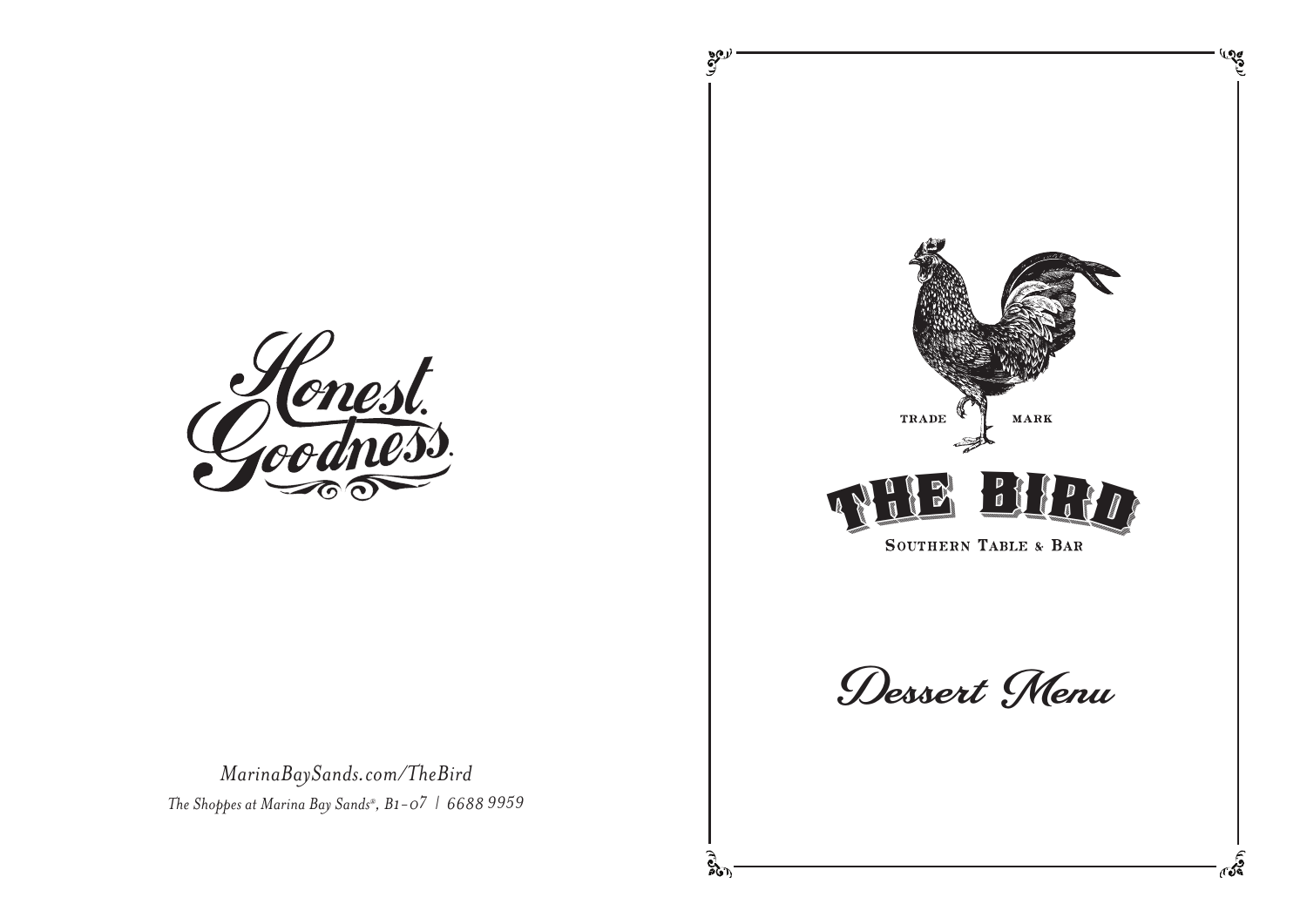

*MarinaBaySands.com/TheBird The Shoppes at Marina Bay Sands®, B1-07 | 6688 9959*